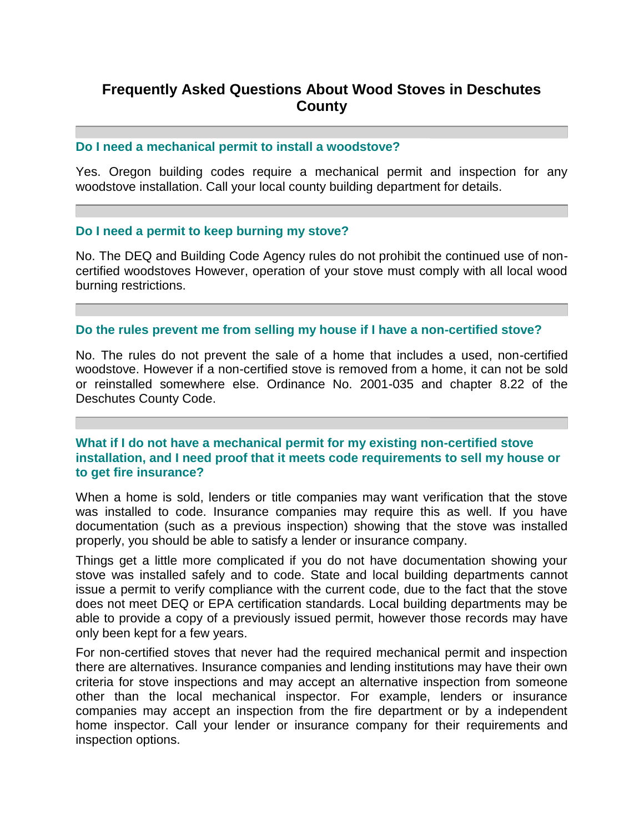# **Frequently Asked Questions About Wood Stoves in Deschutes County**

#### **Do I need a mechanical permit to install a woodstove?**

Yes. Oregon building codes require a mechanical permit and inspection for any woodstove installation. Call your local county building department for details.

#### **Do I need a permit to keep burning my stove?**

No. The DEQ and Building Code Agency rules do not prohibit the continued use of noncertified woodstoves However, operation of your stove must comply with all local wood burning restrictions.

### **Do the rules prevent me from selling my house if I have a non-certified stove?**

No. The rules do not prevent the sale of a home that includes a used, non-certified woodstove. However if a non-certified stove is removed from a home, it can not be sold or reinstalled somewhere else. Ordinance No. 2001-035 and chapter 8.22 of the Deschutes County Code.

# **What if I do not have a mechanical permit for my existing non-certified stove installation, and I need proof that it meets code requirements to sell my house or to get fire insurance?**

When a home is sold, lenders or title companies may want verification that the stove was installed to code. Insurance companies may require this as well. If you have documentation (such as a previous inspection) showing that the stove was installed properly, you should be able to satisfy a lender or insurance company.

Things get a little more complicated if you do not have documentation showing your stove was installed safely and to code. State and local building departments cannot issue a permit to verify compliance with the current code, due to the fact that the stove does not meet DEQ or EPA certification standards. Local building departments may be able to provide a copy of a previously issued permit, however those records may have only been kept for a few years.

For non-certified stoves that never had the required mechanical permit and inspection there are alternatives. Insurance companies and lending institutions may have their own criteria for stove inspections and may accept an alternative inspection from someone other than the local mechanical inspector. For example, lenders or insurance companies may accept an inspection from the fire department or by a independent home inspector. Call your lender or insurance company for their requirements and inspection options.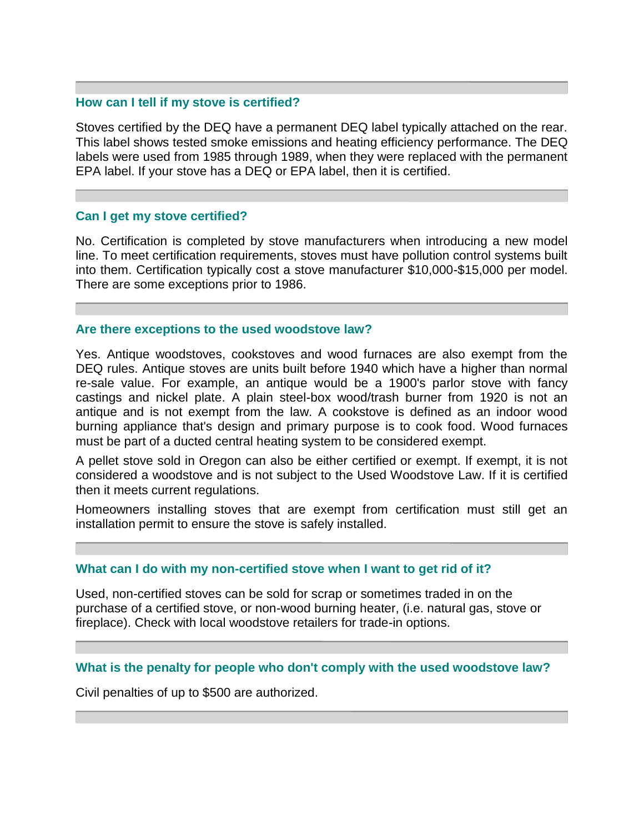### **How can I tell if my stove is certified?**

Stoves certified by the DEQ have a permanent DEQ label typically attached on the rear. This label shows tested smoke emissions and heating efficiency performance. The DEQ labels were used from 1985 through 1989, when they were replaced with the permanent EPA label. If your stove has a DEQ or EPA label, then it is certified.

#### **Can I get my stove certified?**

No. Certification is completed by stove manufacturers when introducing a new model line. To meet certification requirements, stoves must have pollution control systems built into them. Certification typically cost a stove manufacturer \$10,000-\$15,000 per model. There are some exceptions prior to 1986.

#### **Are there exceptions to the used woodstove law?**

Yes. Antique woodstoves, cookstoves and wood furnaces are also exempt from the DEQ rules. Antique stoves are units built before 1940 which have a higher than normal re-sale value. For example, an antique would be a 1900's parlor stove with fancy castings and nickel plate. A plain steel-box wood/trash burner from 1920 is not an antique and is not exempt from the law. A cookstove is defined as an indoor wood burning appliance that's design and primary purpose is to cook food. Wood furnaces must be part of a ducted central heating system to be considered exempt.

A pellet stove sold in Oregon can also be either certified or exempt. If exempt, it is not considered a woodstove and is not subject to the Used Woodstove Law. If it is certified then it meets current regulations.

Homeowners installing stoves that are exempt from certification must still get an installation permit to ensure the stove is safely installed.

#### **What can I do with my non-certified stove when I want to get rid of it?**

Used, non-certified stoves can be sold for scrap or sometimes traded in on the purchase of a certified stove, or non-wood burning heater, (i.e. natural gas, stove or fireplace). Check with local woodstove retailers for trade-in options.

# **What is the penalty for people who don't comply with the used woodstove law?**

Civil penalties of up to \$500 are authorized.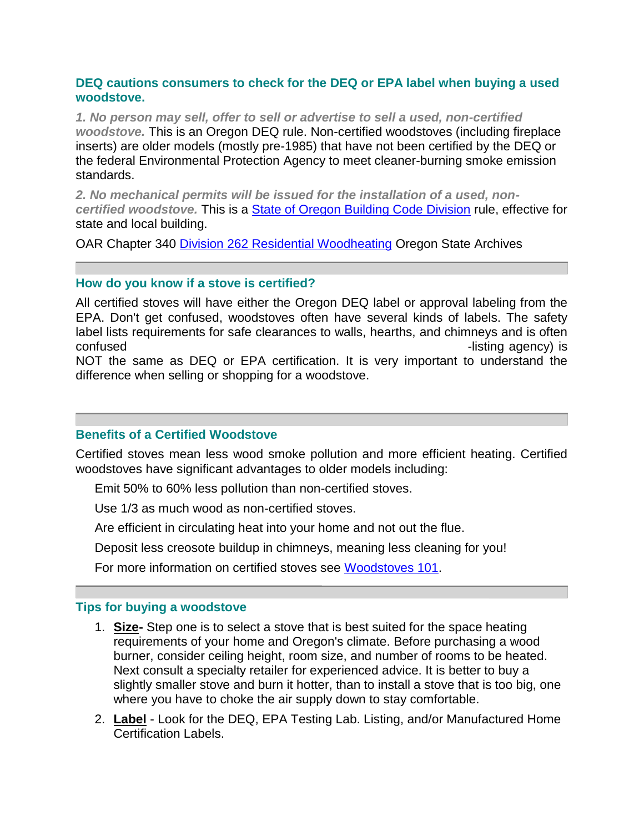# **DEQ cautions consumers to check for the DEQ or EPA label when buying a used woodstove.**

*1. No person may sell, offer to sell or advertise to sell a used, non-certified woodstove.* This is an Oregon DEQ rule. Non-certified woodstoves (including fireplace inserts) are older models (mostly pre-1985) that have not been certified by the DEQ or the federal Environmental Protection Agency to meet cleaner-burning smoke emission standards.

*2. No mechanical permits will be issued for the installation of a used, noncertified woodstove.* This is a [State of Oregon Building Code Division](http://www.cbs.state.or.us/bcd/) rule, effective for state and local building.

OAR Chapter 340 [Division 262 Residential Woodheating](http://arcweb.sos.state.or.us/rules/OARs_300/OAR_340/340_262.html) Oregon State Archives

# **How do you know if a stove is certified?**

All certified stoves will have either the Oregon DEQ label or approval labeling from the EPA. Don't get confused, woodstoves often have several kinds of labels. The safety label lists requirements for safe clearances to walls, hearths, and chimneys and is often confused with "certification". A safety label (from U.L. or other safety-listing agency) is NOT the same as DEQ or EPA certification. It is very important to understand the difference when selling or shopping for a woodstove.

# **Benefits of a Certified Woodstove**

Certified stoves mean less wood smoke pollution and more efficient heating. Certified woodstoves have significant advantages to older models including:

Emit 50% to 60% less pollution than non-certified stoves.

Use 1/3 as much wood as non-certified stoves.

Are efficient in circulating heat into your home and not out the flue.

Deposit less creosote buildup in chimneys, meaning less cleaning for you!

For more information on certified stoves see [Woodstoves 101.](http://www.deq.state.or.us/aq/burning/woodstoves/101.htm)

# **Tips for buying a woodstove**

- 1. **Size-** Step one is to select a stove that is best suited for the space heating requirements of your home and Oregon's climate. Before purchasing a wood burner, consider ceiling height, room size, and number of rooms to be heated. Next consult a specialty retailer for experienced advice. It is better to buy a slightly smaller stove and burn it hotter, than to install a stove that is too big, one where you have to choke the air supply down to stay comfortable.
- 2. **Label** Look for the DEQ, EPA Testing Lab. Listing, and/or Manufactured Home Certification Labels.